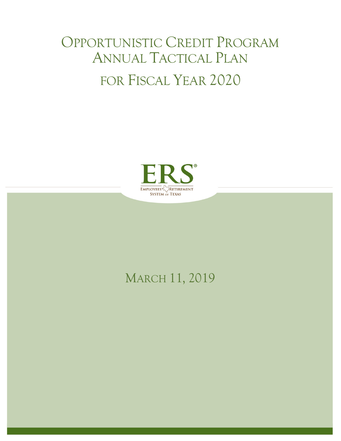# OPPORTUNISTIC CREDIT PROGRAM ANNUAL TACTICAL PLAN FOR FISCAL YEAR 2020



# MARCH 11, 2019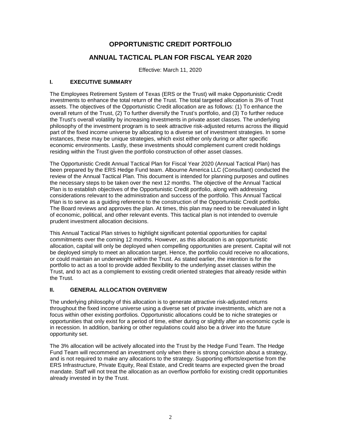## **OPPORTUNISTIC CREDIT PORTFOLIO**

### **ANNUAL TACTICAL PLAN FOR FISCAL YEAR 2020**

Effective: March 11, 2020

#### **I. EXECUTIVE SUMMARY**

The Employees Retirement System of Texas (ERS or the Trust) will make Opportunistic Credit investments to enhance the total return of the Trust. The total targeted allocation is 3% of Trust assets. The objectives of the Opportunistic Credit allocation are as follows: (1) To enhance the overall return of the Trust, (2) To further diversify the Trust's portfolio, and (3) To further reduce the Trust's overall volatility by increasing investments in private asset classes. The underlying philosophy of the investment program is to seek attractive risk-adjusted returns across the illiquid part of the fixed income universe by allocating to a diverse set of investment strategies. In some instances, these may be unique strategies, which exist either only during or after specific economic environments. Lastly, these investments should complement current credit holdings residing within the Trust given the portfolio construction of other asset classes.

The Opportunistic Credit Annual Tactical Plan for Fiscal Year 2020 (Annual Tactical Plan) has been prepared by the ERS Hedge Fund team. Albourne America LLC (Consultant) conducted the review of the Annual Tactical Plan. This document is intended for planning purposes and outlines the necessary steps to be taken over the next 12 months. The objective of the Annual Tactical Plan is to establish objectives of the Opportunistic Credit portfolio, along with addressing considerations relevant to the administration and success of the portfolio. This Annual Tactical Plan is to serve as a guiding reference to the construction of the Opportunistic Credit portfolio. The Board reviews and approves the plan. At times, this plan may need to be reevaluated in light of economic, political, and other relevant events. This tactical plan is not intended to overrule prudent investment allocation decisions.

This Annual Tactical Plan strives to highlight significant potential opportunities for capital commitments over the coming 12 months. However, as this allocation is an opportunistic allocation, capital will only be deployed when compelling opportunities are present. Capital will not be deployed simply to meet an allocation target. Hence, the portfolio could receive no allocations, or could maintain an underweight within the Trust. As stated earlier, the intention is for the portfolio to act as a tool to provide added flexibility to the underlying asset classes within the Trust, and to act as a complement to existing credit oriented strategies that already reside within the Trust.

#### **II. GENERAL ALLOCATION OVERVIEW**

The underlying philosophy of this allocation is to generate attractive risk-adjusted returns throughout the fixed income universe using a diverse set of private investments, which are not a focus within other existing portfolios. Opportunistic allocations could be to niche strategies or opportunities that only exist for a period of time, either during or slightly after an economic cycle is in recession. In addition, banking or other regulations could also be a driver into the future opportunity set.

The 3% allocation will be actively allocated into the Trust by the Hedge Fund Team. The Hedge Fund Team will recommend an investment only when there is strong conviction about a strategy, and is not required to make any allocations to the strategy. Supporting efforts/expertise from the ERS Infrastructure, Private Equity, Real Estate, and Credit teams are expected given the broad mandate. Staff will not treat the allocation as an overflow portfolio for existing credit opportunities already invested in by the Trust.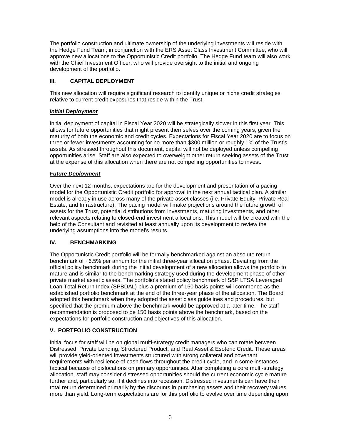The portfolio construction and ultimate ownership of the underlying investments will reside with the Hedge Fund Team; in conjunction with the ERS Asset Class Investment Committee, who will approve new allocations to the Opportunistic Credit portfolio. The Hedge Fund team will also work with the Chief Investment Officer, who will provide oversight to the initial and ongoing development of the portfolio.

#### **III. CAPITAL DEPLOYMENT**

This new allocation will require significant research to identify unique or niche credit strategies relative to current credit exposures that reside within the Trust.

#### *Initial Deployment*

Initial deployment of capital in Fiscal Year 2020 will be strategically slower in this first year. This allows for future opportunities that might present themselves over the coming years, given the maturity of both the economic and credit cycles. Expectations for Fiscal Year 2020 are to focus on three or fewer investments accounting for no more than \$300 million or roughly 1% of the Trust's assets. As stressed throughout this document, capital will not be deployed unless compelling opportunities arise. Staff are also expected to overweight other return seeking assets of the Trust at the expense of this allocation when there are not compelling opportunities to invest.

#### *Future Deployment*

Over the next 12 months, expectations are for the development and presentation of a pacing model for the Opportunistic Credit portfolio for approval in the next annual tactical plan. A similar model is already in use across many of the private asset classes (i.e. Private Equity, Private Real Estate, and Infrastructure). The pacing model will make projections around the future growth of assets for the Trust, potential distributions from investments, maturing investments, and other relevant aspects relating to closed-end investment allocations. This model will be created with the help of the Consultant and revisited at least annually upon its development to review the underlying assumptions into the model's results.

#### **IV. BENCHMARKING**

The Opportunistic Credit portfolio will be formally benchmarked against an absolute return benchmark of +6.5% per annum for the initial three-year allocation phase. Deviating from the official policy benchmark during the initial development of a new allocation allows the portfolio to mature and is similar to the benchmarking strategy used during the development phase of other private market asset classes. The portfolio's stated policy benchmark of S&P LTSA Leveraged Loan Total Return Index (SPBDAL) plus a premium of 150 basis points will commence as the established portfolio benchmark at the end of the three-year phase of the allocation. The Board adopted this benchmark when they adopted the asset class guidelines and procedures, but specified that the premium above the benchmark would be approved at a later time. The staff recommendation is proposed to be 150 basis points above the benchmark, based on the expectations for portfolio construction and objectives of this allocation.

#### **V. PORTFOLIO CONSTRUCTION**

Initial focus for staff will be on global multi-strategy credit managers who can rotate between Distressed, Private Lending, Structured Product, and Real Asset & Esoteric Credit. These areas will provide yield-oriented investments structured with strong collateral and covenant requirements with resilience of cash flows throughout the credit cycle, and in some instances, tactical because of dislocations on primary opportunities. After completing a core multi-strategy allocation, staff may consider distressed opportunities should the current economic cycle mature further and, particularly so, if it declines into recession. Distressed investments can have their total return determined primarily by the discounts in purchasing assets and their recovery values more than yield. Long-term expectations are for this portfolio to evolve over time depending upon